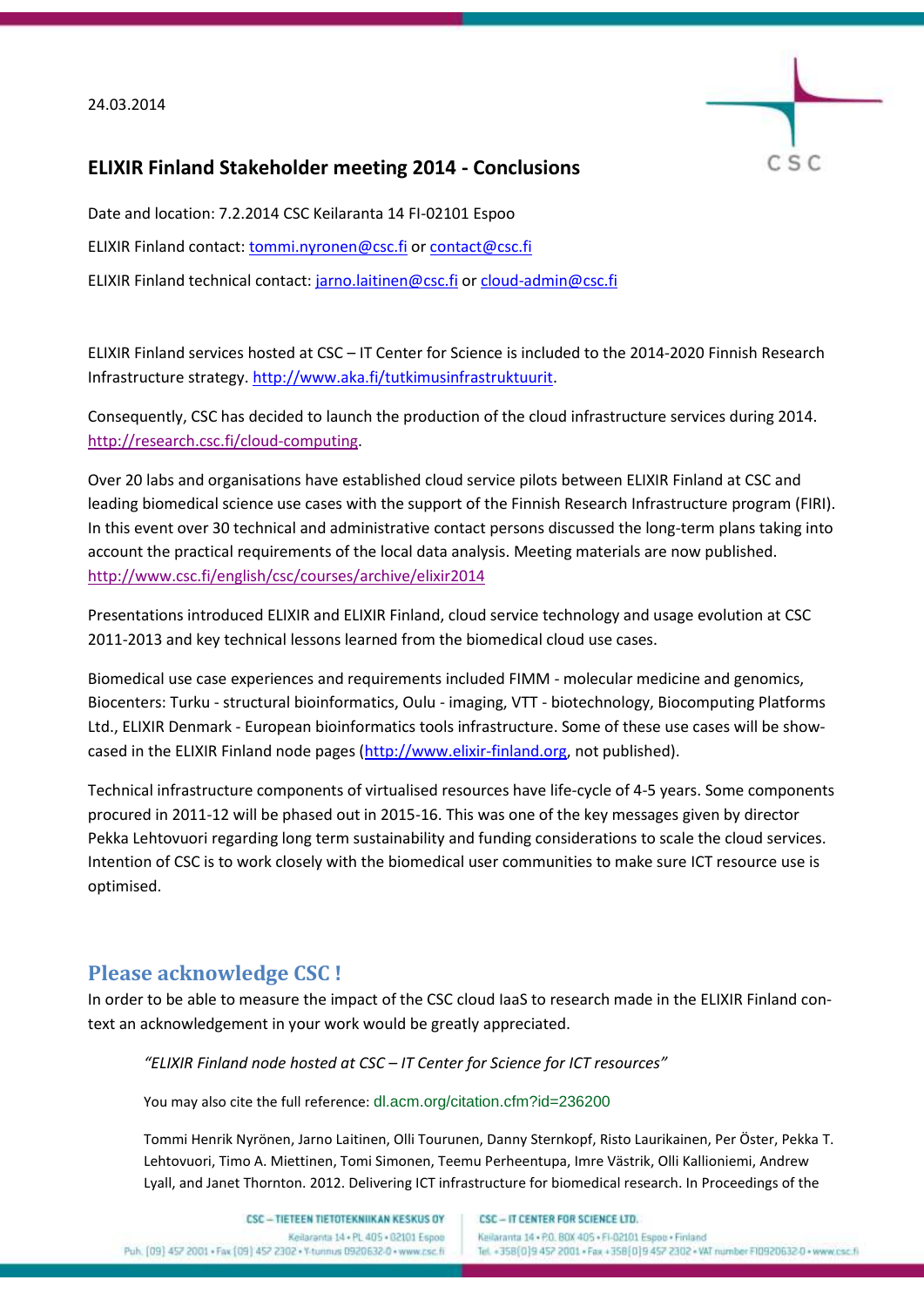#### 24.03.2014



# **ELIXIR Finland Stakeholder meeting 2014 - Conclusions**

Date and location: 7.2.2014 CSC Keilaranta 14 FI-02101 Espoo ELIXIR Finland contact[: tommi.nyronen@csc.fi](mailto:tommi.nyronen@csc.fi) or [contact@csc.fi](mailto:contact@csc.fi) ELIXIR Finland technical contact: [jarno.laitinen@csc.fi](mailto:jarno.laitinen@csc.fi) o[r cloud-admin@csc.fi](mailto:cloud-admin@csc.fi)

ELIXIR Finland services hosted at CSC – IT Center for Science is included to the 2014-2020 Finnish Research Infrastructure strategy. [http://www.aka.fi/tutkimusinfrastruktuurit.](http://www.aka.fi/tutkimusinfrastruktuurit)

Consequently, CSC has decided to launch the production of the cloud infrastructure services during 2014. [http://research.csc.fi/cloud-computing.](http://research.csc.fi/cloud-computing)

Over 20 labs and organisations have established cloud service pilots between ELIXIR Finland at CSC and leading biomedical science use cases with the support of the Finnish Research Infrastructure program (FIRI). In this event over 30 technical and administrative contact persons discussed the long-term plans taking into account the practical requirements of the local data analysis. Meeting materials are now published. <http://www.csc.fi/english/csc/courses/archive/elixir2014>

Presentations introduced ELIXIR and ELIXIR Finland, cloud service technology and usage evolution at CSC 2011-2013 and key technical lessons learned from the biomedical cloud use cases.

Biomedical use case experiences and requirements included FIMM - molecular medicine and genomics, Biocenters: Turku - structural bioinformatics, Oulu - imaging, VTT - biotechnology, Biocomputing Platforms Ltd., ELIXIR Denmark - European bioinformatics tools infrastructure. Some of these use cases will be showcased in the ELIXIR Finland node pages [\(http://www.elixir-finland.org,](http://www.elixir-finland.org/) not published).

Technical infrastructure components of virtualised resources have life-cycle of 4-5 years. Some components procured in 2011-12 will be phased out in 2015-16. This was one of the key messages given by director Pekka Lehtovuori regarding long term sustainability and funding considerations to scale the cloud services. Intention of CSC is to work closely with the biomedical user communities to make sure ICT resource use is optimised.

# **Please acknowledge CSC !**

In order to be able to measure the impact of the CSC cloud IaaS to research made in the ELIXIR Finland context an acknowledgement in your work would be greatly appreciated.

*"ELIXIR Finland node hosted at CSC – IT Center for Science for ICT resources"*

You may also cite the full reference: dl.acm.org/citation.cfm?id=236200

Tommi Henrik Nyrönen, Jarno Laitinen, Olli Tourunen, Danny Sternkopf, Risto Laurikainen, Per Öster, Pekka T. Lehtovuori, Timo A. Miettinen, Tomi Simonen, Teemu Perheentupa, Imre Västrik, Olli Kallioniemi, Andrew Lyall, and Janet Thornton. 2012. Delivering ICT infrastructure for biomedical research. In Proceedings of the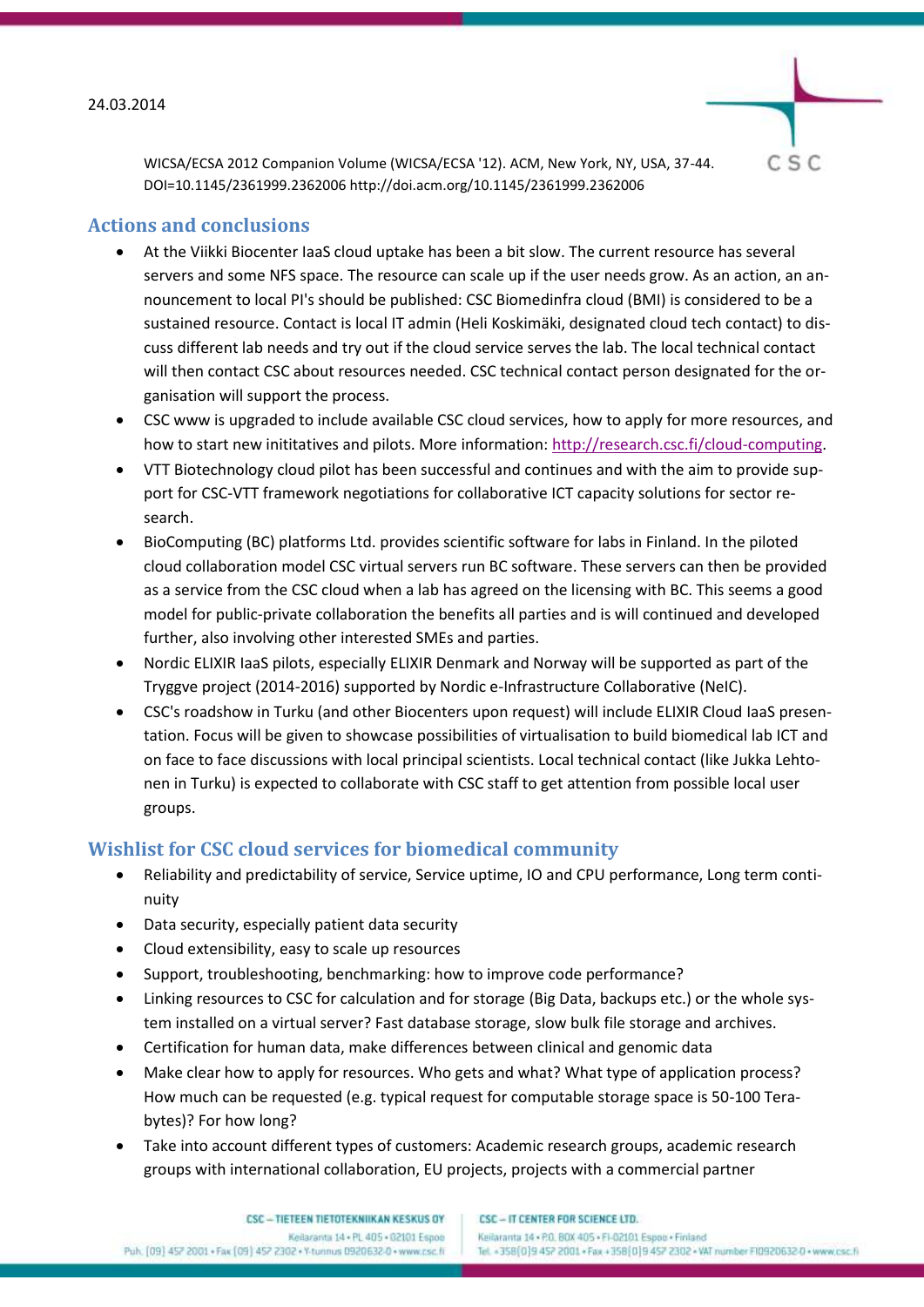

WICSA/ECSA 2012 Companion Volume (WICSA/ECSA '12). ACM, New York, NY, USA, 37-44. DOI=10.1145/2361999.2362006 http://doi.acm.org/10.1145/2361999.2362006

### **Actions and conclusions**

- At the Viikki Biocenter IaaS cloud uptake has been a bit slow. The current resource has several servers and some NFS space. The resource can scale up if the user needs grow. As an action, an announcement to local PI's should be published: CSC Biomedinfra cloud (BMI) is considered to be a sustained resource. Contact is local IT admin (Heli Koskimäki, designated cloud tech contact) to discuss different lab needs and try out if the cloud service serves the lab. The local technical contact will then contact CSC about resources needed. CSC technical contact person designated for the organisation will support the process.
- CSC www is upgraded to include available CSC cloud services, how to apply for more resources, and how to start new inititatives and pilots. More information[: http://research.csc.fi/cloud-computing.](http://research.csc.fi/cloud-computing)
- VTT Biotechnology cloud pilot has been successful and continues and with the aim to provide support for CSC-VTT framework negotiations for collaborative ICT capacity solutions for sector research.
- BioComputing (BC) platforms Ltd. provides scientific software for labs in Finland. In the piloted cloud collaboration model CSC virtual servers run BC software. These servers can then be provided as a service from the CSC cloud when a lab has agreed on the licensing with BC. This seems a good model for public-private collaboration the benefits all parties and is will continued and developed further, also involving other interested SMEs and parties.
- Nordic ELIXIR IaaS pilots, especially ELIXIR Denmark and Norway will be supported as part of the Tryggve project (2014-2016) supported by Nordic e-Infrastructure Collaborative (NeIC).
- CSC's roadshow in Turku (and other Biocenters upon request) will include ELIXIR Cloud IaaS presentation. Focus will be given to showcase possibilities of virtualisation to build biomedical lab ICT and on face to face discussions with local principal scientists. Local technical contact (like Jukka Lehtonen in Turku) is expected to collaborate with CSC staff to get attention from possible local user groups.

# **Wishlist for CSC cloud services for biomedical community**

- Reliability and predictability of service, Service uptime, IO and CPU performance, Long term continuity
- Data security, especially patient data security
- Cloud extensibility, easy to scale up resources
- Support, troubleshooting, benchmarking: how to improve code performance?
- Linking resources to CSC for calculation and for storage (Big Data, backups etc.) or the whole system installed on a virtual server? Fast database storage, slow bulk file storage and archives.
- Certification for human data, make differences between clinical and genomic data
- Make clear how to apply for resources. Who gets and what? What type of application process? How much can be requested (e.g. typical request for computable storage space is 50-100 Terabytes)? For how long?
- Take into account different types of customers: Academic research groups, academic research groups with international collaboration, EU projects, projects with a commercial partner

CSC - IT CENTER FOR SCIENCE LTD.